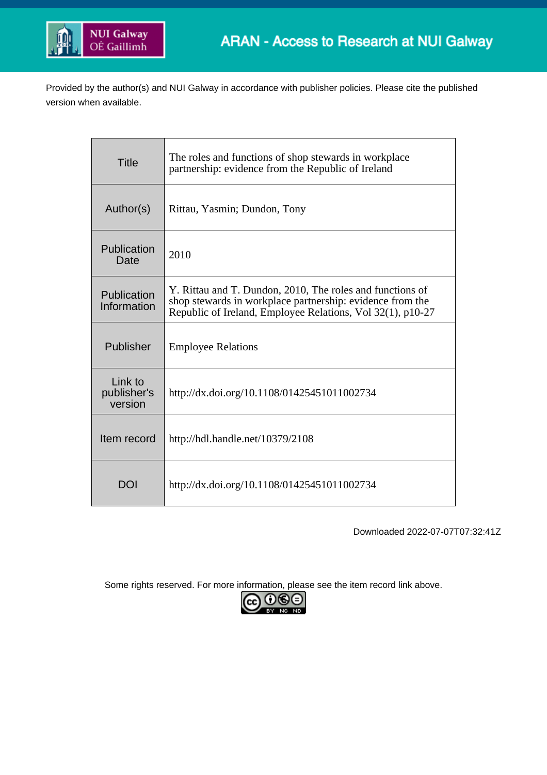

Provided by the author(s) and NUI Galway in accordance with publisher policies. Please cite the published version when available.

| <b>Title</b>                      | The roles and functions of shop stewards in workplace<br>partnership: evidence from the Republic of Ireland                                                                          |  |  |  |  |
|-----------------------------------|--------------------------------------------------------------------------------------------------------------------------------------------------------------------------------------|--|--|--|--|
| Author(s)                         | Rittau, Yasmin; Dundon, Tony                                                                                                                                                         |  |  |  |  |
| Publication<br>Date               | 2010                                                                                                                                                                                 |  |  |  |  |
| Publication<br>Information        | Y. Rittau and T. Dundon, 2010, The roles and functions of<br>shop stewards in workplace partnership: evidence from the<br>Republic of Ireland, Employee Relations, Vol 32(1), p10-27 |  |  |  |  |
| Publisher                         | <b>Employee Relations</b>                                                                                                                                                            |  |  |  |  |
| Link to<br>publisher's<br>version | http://dx.doi.org/10.1108/01425451011002734                                                                                                                                          |  |  |  |  |
| Item record                       | http://hdl.handle.net/10379/2108                                                                                                                                                     |  |  |  |  |
| DOI                               | http://dx.doi.org/10.1108/01425451011002734                                                                                                                                          |  |  |  |  |

Downloaded 2022-07-07T07:32:41Z

Some rights reserved. For more information, please see the item record link above.

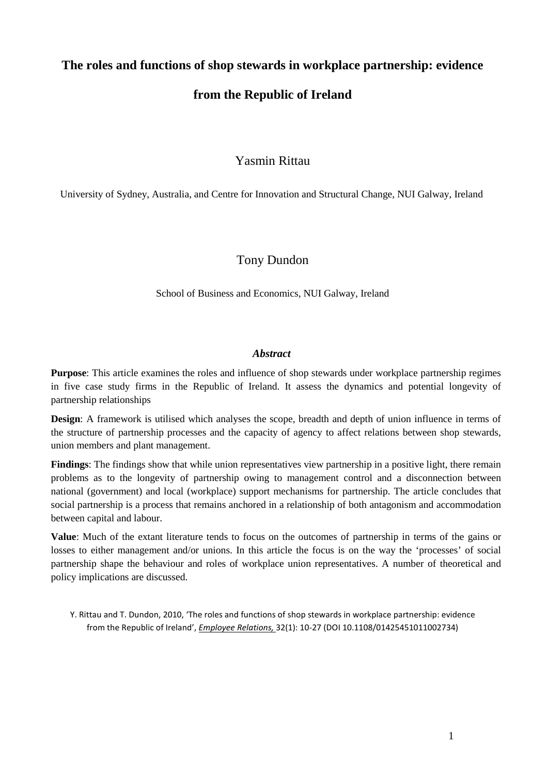# **The roles and functions of shop stewards in workplace partnership: evidence from the Republic of Ireland**

## Yasmin Rittau

University of Sydney, Australia, and Centre for Innovation and Structural Change, NUI Galway, Ireland

### Tony Dundon

School of Business and Economics, NUI Galway, Ireland

#### *Abstract*

**Purpose**: This article examines the roles and influence of shop stewards under workplace partnership regimes in five case study firms in the Republic of Ireland. It assess the dynamics and potential longevity of partnership relationships

**Design**: A framework is utilised which analyses the scope, breadth and depth of union influence in terms of the structure of partnership processes and the capacity of agency to affect relations between shop stewards, union members and plant management.

**Findings**: The findings show that while union representatives view partnership in a positive light, there remain problems as to the longevity of partnership owing to management control and a disconnection between national (government) and local (workplace) support mechanisms for partnership. The article concludes that social partnership is a process that remains anchored in a relationship of both antagonism and accommodation between capital and labour.

**Value**: Much of the extant literature tends to focus on the outcomes of partnership in terms of the gains or losses to either management and/or unions. In this article the focus is on the way the 'processes' of social partnership shape the behaviour and roles of workplace union representatives. A number of theoretical and policy implications are discussed.

Y. Rittau and T. Dundon, 2010, 'The roles and functions of shop stewards in workplace partnership: evidence from the Republic of Ireland', *Employee Relations,* 32(1): 10-27 (DOI 10.1108/01425451011002734)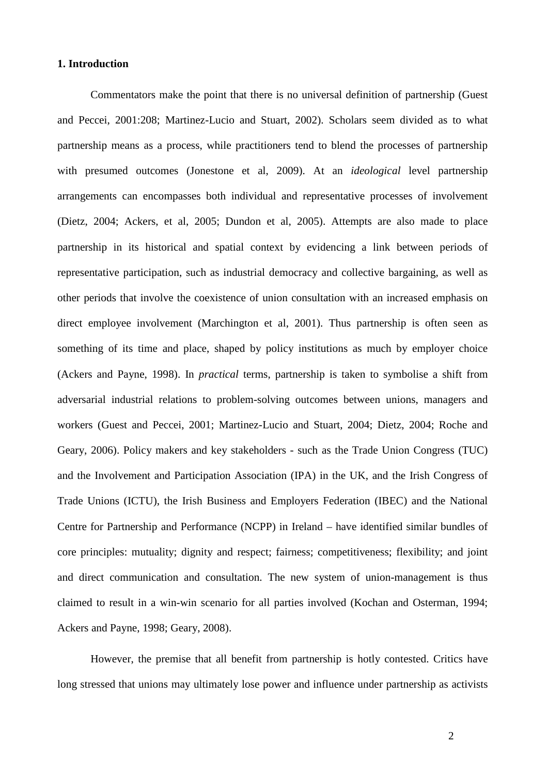#### **1. Introduction**

Commentators make the point that there is no universal definition of partnership (Guest and Peccei, 2001:208; Martinez-Lucio and Stuart, 2002). Scholars seem divided as to what partnership means as a process, while practitioners tend to blend the processes of partnership with presumed outcomes (Jonestone et al, 2009). At an *ideological* level partnership arrangements can encompasses both individual and representative processes of involvement (Dietz, 2004; Ackers, et al, 2005; Dundon et al, 2005). Attempts are also made to place partnership in its historical and spatial context by evidencing a link between periods of representative participation, such as industrial democracy and collective bargaining, as well as other periods that involve the coexistence of union consultation with an increased emphasis on direct employee involvement (Marchington et al, 2001). Thus partnership is often seen as something of its time and place, shaped by policy institutions as much by employer choice (Ackers and Payne, 1998). In *practical* terms, partnership is taken to symbolise a shift from adversarial industrial relations to problem-solving outcomes between unions, managers and workers (Guest and Peccei, 2001; Martinez-Lucio and Stuart, 2004; Dietz, 2004; Roche and Geary, 2006). Policy makers and key stakeholders - such as the Trade Union Congress (TUC) and the Involvement and Participation Association (IPA) in the UK, and the Irish Congress of Trade Unions (ICTU), the Irish Business and Employers Federation (IBEC) and the National Centre for Partnership and Performance (NCPP) in Ireland – have identified similar bundles of core principles: mutuality; dignity and respect; fairness; competitiveness; flexibility; and joint and direct communication and consultation. The new system of union-management is thus claimed to result in a win-win scenario for all parties involved (Kochan and Osterman, 1994; Ackers and Payne, 1998; Geary, 2008).

However, the premise that all benefit from partnership is hotly contested. Critics have long stressed that unions may ultimately lose power and influence under partnership as activists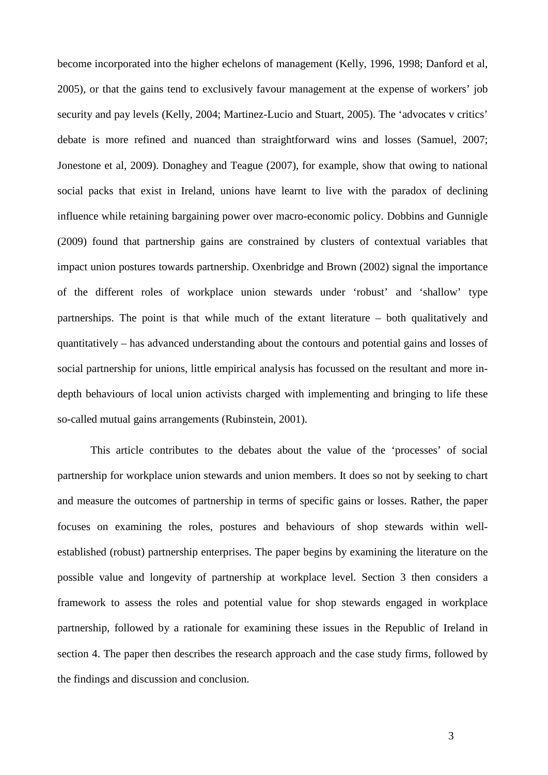become incorporated into the higher echelons of management (Kelly, 1996, 1998; Danford et al, 2005), or that the gains tend to exclusively favour management at the expense of workers' job security and pay levels (Kelly, 2004; Martinez-Lucio and Stuart, 2005). The 'advocates v critics' debate is more refined and nuanced than straightforward wins and losses (Samuel, 2007; Jonestone et al, 2009). Donaghey and Teague (2007), for example, show that owing to national social packs that exist in Ireland, unions have learnt to live with the paradox of declining influence while retaining bargaining power over macro-economic policy. Dobbins and Gunnigle (2009) found that partnership gains are constrained by clusters of contextual variables that impact union postures towards partnership. Oxenbridge and Brown (2002) signal the importance of the different roles of workplace union stewards under 'robust' and 'shallow' type partnerships. The point is that while much of the extant literature – both qualitatively and quantitatively – has advanced understanding about the contours and potential gains and losses of social partnership for unions, little empirical analysis has focussed on the resultant and more indepth behaviours of local union activists charged with implementing and bringing to life these so-called mutual gains arrangements (Rubinstein, 2001).

This article contributes to the debates about the value of the 'processes' of social partnership for workplace union stewards and union members. It does so not by seeking to chart and measure the outcomes of partnership in terms of specific gains or losses. Rather, the paper focuses on examining the roles, postures and behaviours of shop stewards within wellestablished (robust) partnership enterprises. The paper begins by examining the literature on the possible value and longevity of partnership at workplace level. Section 3 then considers a framework to assess the roles and potential value for shop stewards engaged in workplace partnership, followed by a rationale for examining these issues in the Republic of Ireland in section 4. The paper then describes the research approach and the case study firms, followed by the findings and discussion and conclusion.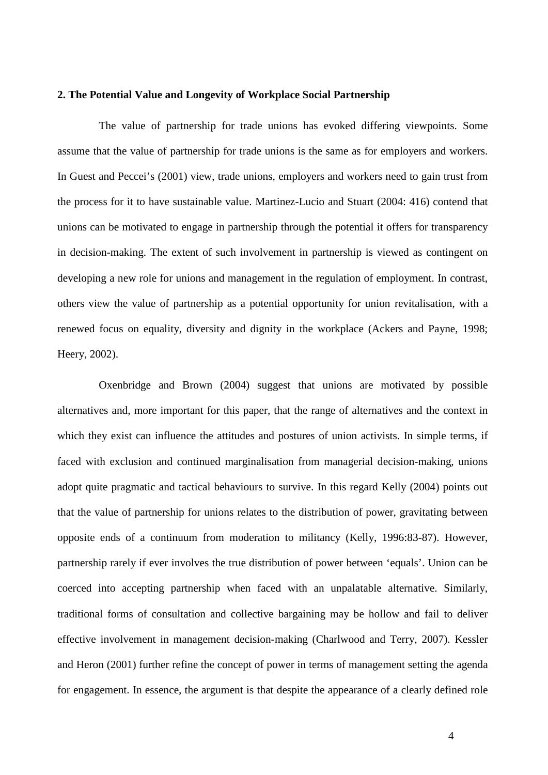#### **2. The Potential Value and Longevity of Workplace Social Partnership**

The value of partnership for trade unions has evoked differing viewpoints. Some assume that the value of partnership for trade unions is the same as for employers and workers. In Guest and Peccei's (2001) view, trade unions, employers and workers need to gain trust from the process for it to have sustainable value. Martinez-Lucio and Stuart (2004: 416) contend that unions can be motivated to engage in partnership through the potential it offers for transparency in decision-making. The extent of such involvement in partnership is viewed as contingent on developing a new role for unions and management in the regulation of employment. In contrast, others view the value of partnership as a potential opportunity for union revitalisation, with a renewed focus on equality, diversity and dignity in the workplace (Ackers and Payne, 1998; Heery, 2002).

Oxenbridge and Brown (2004) suggest that unions are motivated by possible alternatives and, more important for this paper, that the range of alternatives and the context in which they exist can influence the attitudes and postures of union activists. In simple terms, if faced with exclusion and continued marginalisation from managerial decision-making, unions adopt quite pragmatic and tactical behaviours to survive. In this regard Kelly (2004) points out that the value of partnership for unions relates to the distribution of power, gravitating between opposite ends of a continuum from moderation to militancy (Kelly, 1996:83-87). However, partnership rarely if ever involves the true distribution of power between 'equals'. Union can be coerced into accepting partnership when faced with an unpalatable alternative. Similarly, traditional forms of consultation and collective bargaining may be hollow and fail to deliver effective involvement in management decision-making (Charlwood and Terry, 2007). Kessler and Heron (2001) further refine the concept of power in terms of management setting the agenda for engagement. In essence, the argument is that despite the appearance of a clearly defined role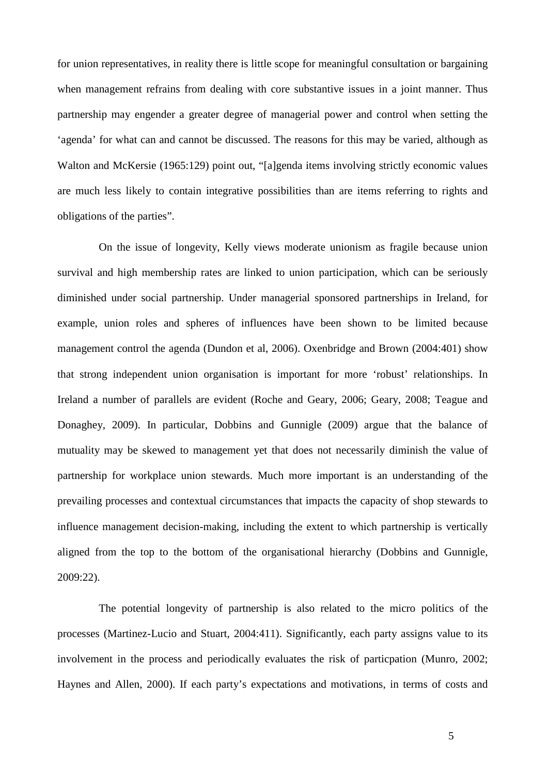for union representatives, in reality there is little scope for meaningful consultation or bargaining when management refrains from dealing with core substantive issues in a joint manner. Thus partnership may engender a greater degree of managerial power and control when setting the 'agenda' for what can and cannot be discussed. The reasons for this may be varied, although as Walton and McKersie (1965:129) point out, "[a]genda items involving strictly economic values are much less likely to contain integrative possibilities than are items referring to rights and obligations of the parties".

On the issue of longevity, Kelly views moderate unionism as fragile because union survival and high membership rates are linked to union participation, which can be seriously diminished under social partnership. Under managerial sponsored partnerships in Ireland, for example, union roles and spheres of influences have been shown to be limited because management control the agenda (Dundon et al, 2006). Oxenbridge and Brown (2004:401) show that strong independent union organisation is important for more 'robust' relationships. In Ireland a number of parallels are evident (Roche and Geary, 2006; Geary, 2008; Teague and Donaghey, 2009). In particular, Dobbins and Gunnigle (2009) argue that the balance of mutuality may be skewed to management yet that does not necessarily diminish the value of partnership for workplace union stewards. Much more important is an understanding of the prevailing processes and contextual circumstances that impacts the capacity of shop stewards to influence management decision-making, including the extent to which partnership is vertically aligned from the top to the bottom of the organisational hierarchy (Dobbins and Gunnigle, 2009:22).

The potential longevity of partnership is also related to the micro politics of the processes (Martinez-Lucio and Stuart, 2004:411). Significantly, each party assigns value to its involvement in the process and periodically evaluates the risk of particpation (Munro, 2002; Haynes and Allen, 2000). If each party's expectations and motivations, in terms of costs and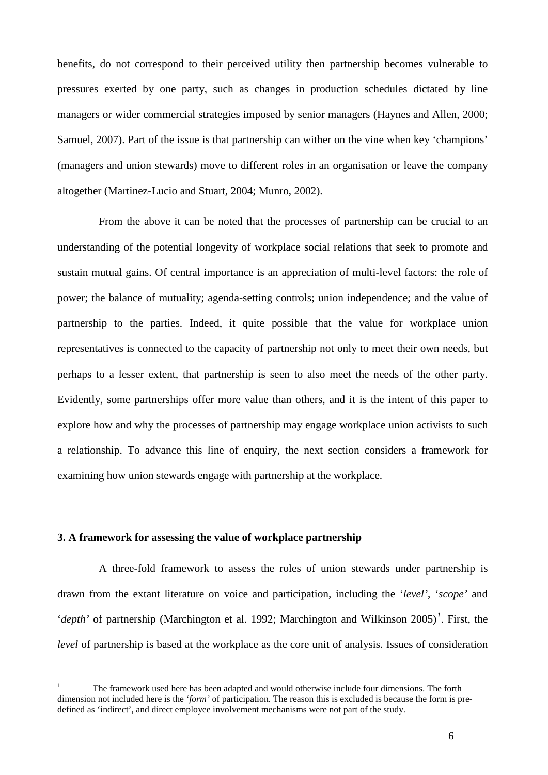benefits, do not correspond to their perceived utility then partnership becomes vulnerable to pressures exerted by one party, such as changes in production schedules dictated by line managers or wider commercial strategies imposed by senior managers (Haynes and Allen, 2000; Samuel, 2007). Part of the issue is that partnership can wither on the vine when key 'champions' (managers and union stewards) move to different roles in an organisation or leave the company altogether (Martinez-Lucio and Stuart, 2004; Munro, 2002).

From the above it can be noted that the processes of partnership can be crucial to an understanding of the potential longevity of workplace social relations that seek to promote and sustain mutual gains. Of central importance is an appreciation of multi-level factors: the role of power; the balance of mutuality; agenda-setting controls; union independence; and the value of partnership to the parties. Indeed, it quite possible that the value for workplace union representatives is connected to the capacity of partnership not only to meet their own needs, but perhaps to a lesser extent, that partnership is seen to also meet the needs of the other party. Evidently, some partnerships offer more value than others, and it is the intent of this paper to explore how and why the processes of partnership may engage workplace union activists to such a relationship. To advance this line of enquiry, the next section considers a framework for examining how union stewards engage with partnership at the workplace.

#### **3. A framework for assessing the value of workplace partnership**

A three-fold framework to assess the roles of union stewards under partnership is drawn from the extant literature on voice and participation, including the '*level'*, '*scope'* and '*depth*' of partnership (Marchington et al. [1](#page-6-0)992; Marchington and Wilkinson 2005)<sup>1</sup>. First, the *level* of partnership is based at the workplace as the core unit of analysis. Issues of consideration

<span id="page-6-0"></span> <sup>1</sup> The framework used here has been adapted and would otherwise include four dimensions. The forth dimension not included here is the '*form'* of participation. The reason this is excluded is because the form is predefined as 'indirect', and direct employee involvement mechanisms were not part of the study.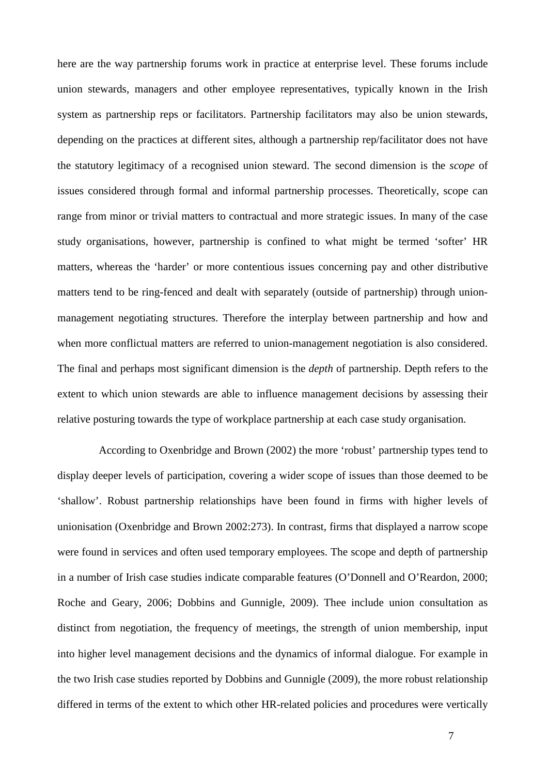here are the way partnership forums work in practice at enterprise level. These forums include union stewards, managers and other employee representatives, typically known in the Irish system as partnership reps or facilitators. Partnership facilitators may also be union stewards, depending on the practices at different sites, although a partnership rep/facilitator does not have the statutory legitimacy of a recognised union steward. The second dimension is the *scope* of issues considered through formal and informal partnership processes. Theoretically, scope can range from minor or trivial matters to contractual and more strategic issues. In many of the case study organisations, however, partnership is confined to what might be termed 'softer' HR matters, whereas the 'harder' or more contentious issues concerning pay and other distributive matters tend to be ring-fenced and dealt with separately (outside of partnership) through unionmanagement negotiating structures. Therefore the interplay between partnership and how and when more conflictual matters are referred to union-management negotiation is also considered. The final and perhaps most significant dimension is the *depth* of partnership. Depth refers to the extent to which union stewards are able to influence management decisions by assessing their relative posturing towards the type of workplace partnership at each case study organisation.

According to Oxenbridge and Brown (2002) the more 'robust' partnership types tend to display deeper levels of participation, covering a wider scope of issues than those deemed to be 'shallow'. Robust partnership relationships have been found in firms with higher levels of unionisation (Oxenbridge and Brown 2002:273). In contrast, firms that displayed a narrow scope were found in services and often used temporary employees. The scope and depth of partnership in a number of Irish case studies indicate comparable features (O'Donnell and O'Reardon, 2000; Roche and Geary, 2006; Dobbins and Gunnigle, 2009). Thee include union consultation as distinct from negotiation, the frequency of meetings, the strength of union membership, input into higher level management decisions and the dynamics of informal dialogue. For example in the two Irish case studies reported by Dobbins and Gunnigle (2009), the more robust relationship differed in terms of the extent to which other HR-related policies and procedures were vertically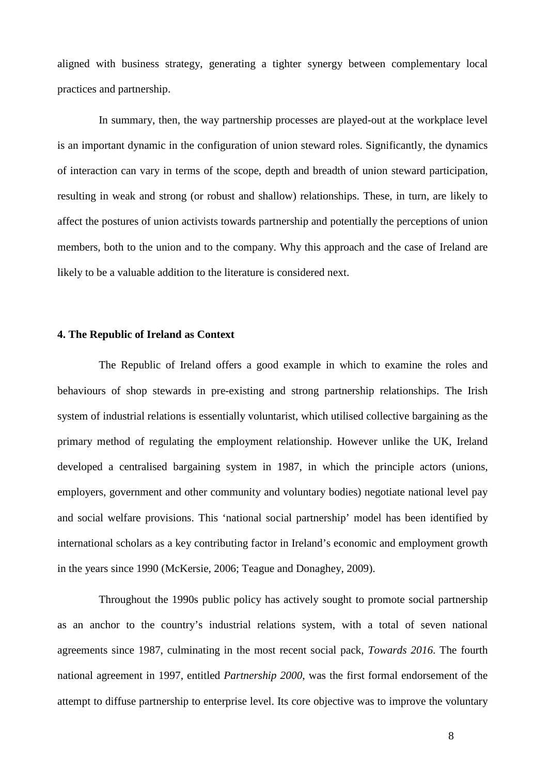aligned with business strategy, generating a tighter synergy between complementary local practices and partnership.

In summary, then, the way partnership processes are played-out at the workplace level is an important dynamic in the configuration of union steward roles. Significantly, the dynamics of interaction can vary in terms of the scope, depth and breadth of union steward participation, resulting in weak and strong (or robust and shallow) relationships. These, in turn, are likely to affect the postures of union activists towards partnership and potentially the perceptions of union members, both to the union and to the company. Why this approach and the case of Ireland are likely to be a valuable addition to the literature is considered next.

#### **4. The Republic of Ireland as Context**

The Republic of Ireland offers a good example in which to examine the roles and behaviours of shop stewards in pre-existing and strong partnership relationships. The Irish system of industrial relations is essentially voluntarist, which utilised collective bargaining as the primary method of regulating the employment relationship. However unlike the UK, Ireland developed a centralised bargaining system in 1987, in which the principle actors (unions, employers, government and other community and voluntary bodies) negotiate national level pay and social welfare provisions. This 'national social partnership' model has been identified by international scholars as a key contributing factor in Ireland's economic and employment growth in the years since 1990 (McKersie, 2006; Teague and Donaghey, 2009).

Throughout the 1990s public policy has actively sought to promote social partnership as an anchor to the country's industrial relations system, with a total of seven national agreements since 1987, culminating in the most recent social pack, *Towards 2016*. The fourth national agreement in 1997, entitled *Partnership 2000*, was the first formal endorsement of the attempt to diffuse partnership to enterprise level. Its core objective was to improve the voluntary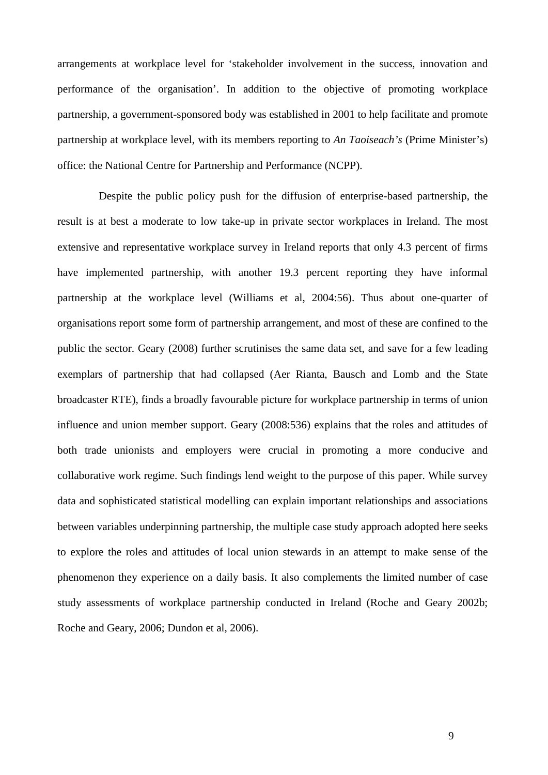arrangements at workplace level for 'stakeholder involvement in the success, innovation and performance of the organisation'. In addition to the objective of promoting workplace partnership, a government-sponsored body was established in 2001 to help facilitate and promote partnership at workplace level, with its members reporting to *An Taoiseach's* (Prime Minister's) office: the National Centre for Partnership and Performance (NCPP).

Despite the public policy push for the diffusion of enterprise-based partnership, the result is at best a moderate to low take-up in private sector workplaces in Ireland. The most extensive and representative workplace survey in Ireland reports that only 4.3 percent of firms have implemented partnership, with another 19.3 percent reporting they have informal partnership at the workplace level (Williams et al, 2004:56). Thus about one-quarter of organisations report some form of partnership arrangement, and most of these are confined to the public the sector. Geary (2008) further scrutinises the same data set, and save for a few leading exemplars of partnership that had collapsed (Aer Rianta, Bausch and Lomb and the State broadcaster RTE), finds a broadly favourable picture for workplace partnership in terms of union influence and union member support. Geary (2008:536) explains that the roles and attitudes of both trade unionists and employers were crucial in promoting a more conducive and collaborative work regime. Such findings lend weight to the purpose of this paper. While survey data and sophisticated statistical modelling can explain important relationships and associations between variables underpinning partnership, the multiple case study approach adopted here seeks to explore the roles and attitudes of local union stewards in an attempt to make sense of the phenomenon they experience on a daily basis. It also complements the limited number of case study assessments of workplace partnership conducted in Ireland (Roche and Geary 2002b; Roche and Geary, 2006; Dundon et al, 2006).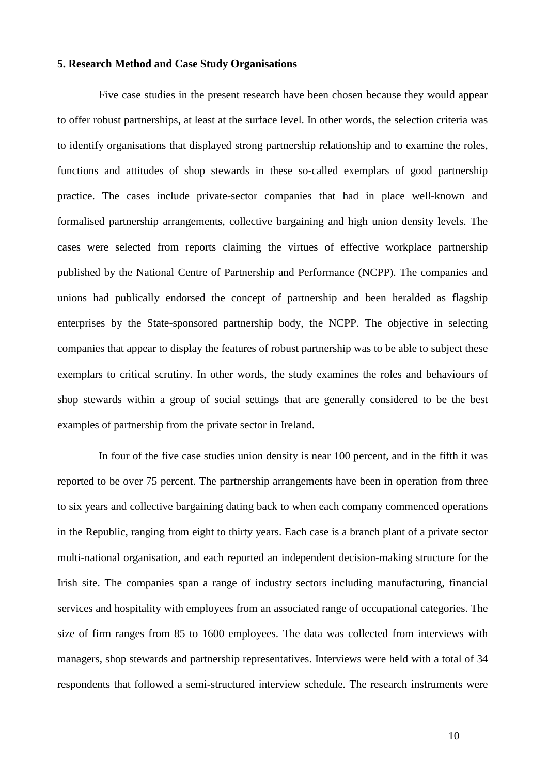#### **5. Research Method and Case Study Organisations**

Five case studies in the present research have been chosen because they would appear to offer robust partnerships, at least at the surface level. In other words, the selection criteria was to identify organisations that displayed strong partnership relationship and to examine the roles, functions and attitudes of shop stewards in these so-called exemplars of good partnership practice. The cases include private-sector companies that had in place well-known and formalised partnership arrangements, collective bargaining and high union density levels. The cases were selected from reports claiming the virtues of effective workplace partnership published by the National Centre of Partnership and Performance (NCPP). The companies and unions had publically endorsed the concept of partnership and been heralded as flagship enterprises by the State-sponsored partnership body, the NCPP. The objective in selecting companies that appear to display the features of robust partnership was to be able to subject these exemplars to critical scrutiny. In other words, the study examines the roles and behaviours of shop stewards within a group of social settings that are generally considered to be the best examples of partnership from the private sector in Ireland.

In four of the five case studies union density is near 100 percent, and in the fifth it was reported to be over 75 percent. The partnership arrangements have been in operation from three to six years and collective bargaining dating back to when each company commenced operations in the Republic, ranging from eight to thirty years. Each case is a branch plant of a private sector multi-national organisation, and each reported an independent decision-making structure for the Irish site. The companies span a range of industry sectors including manufacturing, financial services and hospitality with employees from an associated range of occupational categories. The size of firm ranges from 85 to 1600 employees. The data was collected from interviews with managers, shop stewards and partnership representatives. Interviews were held with a total of 34 respondents that followed a semi-structured interview schedule. The research instruments were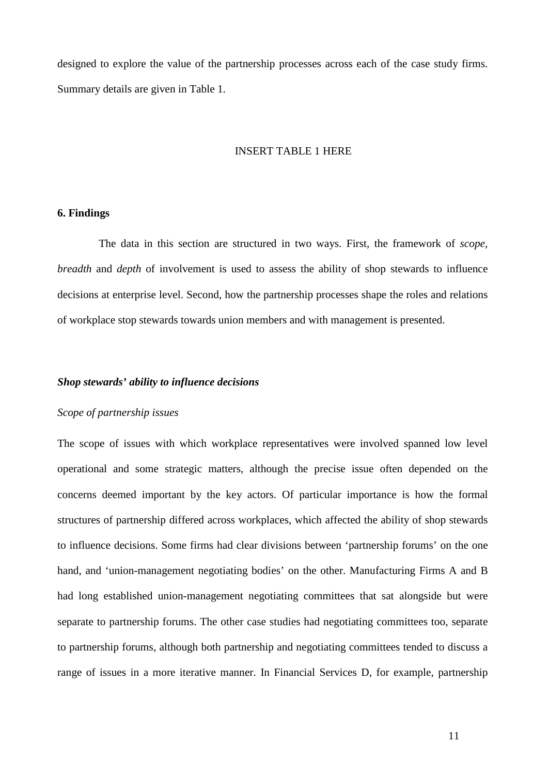designed to explore the value of the partnership processes across each of the case study firms. Summary details are given in Table 1.

#### INSERT TABLE 1 HERE

#### **6. Findings**

The data in this section are structured in two ways. First, the framework of *scope*, *breadth* and *depth* of involvement is used to assess the ability of shop stewards to influence decisions at enterprise level. Second, how the partnership processes shape the roles and relations of workplace stop stewards towards union members and with management is presented.

#### *Shop stewards' ability to influence decisions*

#### *Scope of partnership issues*

The scope of issues with which workplace representatives were involved spanned low level operational and some strategic matters, although the precise issue often depended on the concerns deemed important by the key actors. Of particular importance is how the formal structures of partnership differed across workplaces, which affected the ability of shop stewards to influence decisions. Some firms had clear divisions between 'partnership forums' on the one hand, and 'union-management negotiating bodies' on the other. Manufacturing Firms A and B had long established union-management negotiating committees that sat alongside but were separate to partnership forums. The other case studies had negotiating committees too, separate to partnership forums, although both partnership and negotiating committees tended to discuss a range of issues in a more iterative manner. In Financial Services D, for example, partnership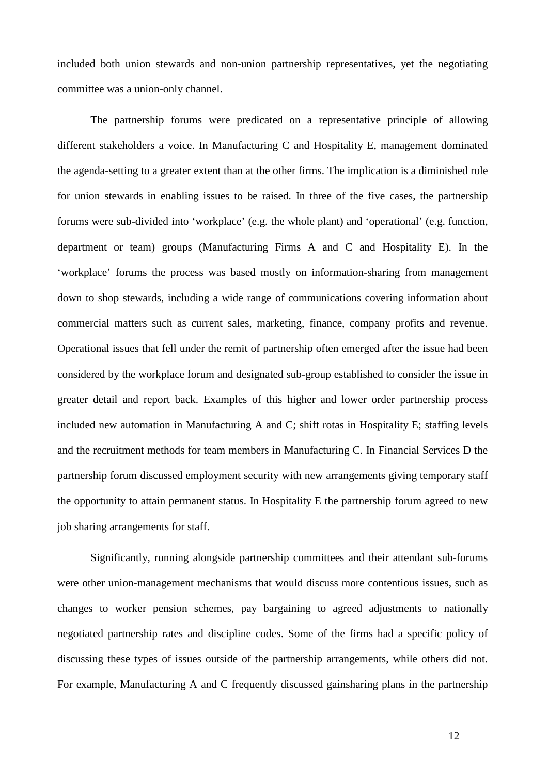included both union stewards and non-union partnership representatives, yet the negotiating committee was a union-only channel.

The partnership forums were predicated on a representative principle of allowing different stakeholders a voice. In Manufacturing C and Hospitality E, management dominated the agenda-setting to a greater extent than at the other firms. The implication is a diminished role for union stewards in enabling issues to be raised. In three of the five cases, the partnership forums were sub-divided into 'workplace' (e.g. the whole plant) and 'operational' (e.g. function, department or team) groups (Manufacturing Firms A and C and Hospitality E). In the 'workplace' forums the process was based mostly on information-sharing from management down to shop stewards, including a wide range of communications covering information about commercial matters such as current sales, marketing, finance, company profits and revenue. Operational issues that fell under the remit of partnership often emerged after the issue had been considered by the workplace forum and designated sub-group established to consider the issue in greater detail and report back. Examples of this higher and lower order partnership process included new automation in Manufacturing A and C; shift rotas in Hospitality E; staffing levels and the recruitment methods for team members in Manufacturing C. In Financial Services D the partnership forum discussed employment security with new arrangements giving temporary staff the opportunity to attain permanent status. In Hospitality E the partnership forum agreed to new job sharing arrangements for staff.

Significantly, running alongside partnership committees and their attendant sub-forums were other union-management mechanisms that would discuss more contentious issues, such as changes to worker pension schemes, pay bargaining to agreed adjustments to nationally negotiated partnership rates and discipline codes. Some of the firms had a specific policy of discussing these types of issues outside of the partnership arrangements, while others did not. For example, Manufacturing A and C frequently discussed gainsharing plans in the partnership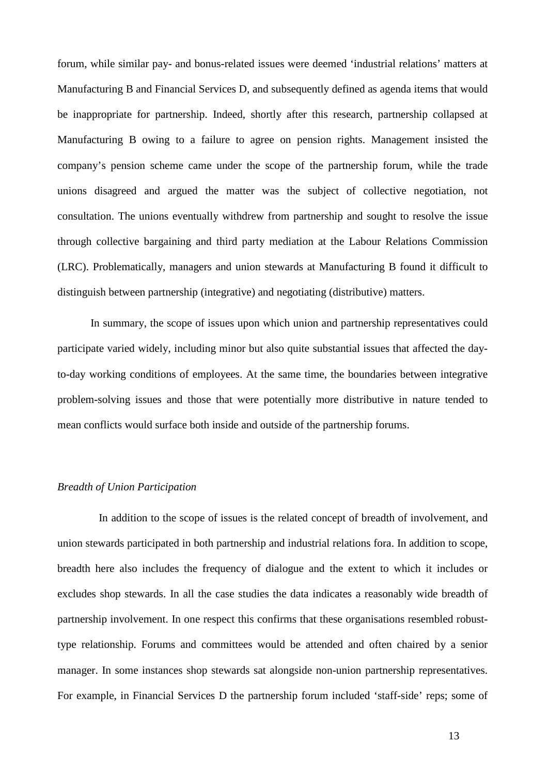forum, while similar pay- and bonus-related issues were deemed 'industrial relations' matters at Manufacturing B and Financial Services D, and subsequently defined as agenda items that would be inappropriate for partnership. Indeed, shortly after this research, partnership collapsed at Manufacturing B owing to a failure to agree on pension rights. Management insisted the company's pension scheme came under the scope of the partnership forum, while the trade unions disagreed and argued the matter was the subject of collective negotiation, not consultation. The unions eventually withdrew from partnership and sought to resolve the issue through collective bargaining and third party mediation at the Labour Relations Commission (LRC). Problematically, managers and union stewards at Manufacturing B found it difficult to distinguish between partnership (integrative) and negotiating (distributive) matters.

In summary, the scope of issues upon which union and partnership representatives could participate varied widely, including minor but also quite substantial issues that affected the dayto-day working conditions of employees. At the same time, the boundaries between integrative problem-solving issues and those that were potentially more distributive in nature tended to mean conflicts would surface both inside and outside of the partnership forums.

#### *Breadth of Union Participation*

In addition to the scope of issues is the related concept of breadth of involvement, and union stewards participated in both partnership and industrial relations fora. In addition to scope, breadth here also includes the frequency of dialogue and the extent to which it includes or excludes shop stewards. In all the case studies the data indicates a reasonably wide breadth of partnership involvement. In one respect this confirms that these organisations resembled robusttype relationship. Forums and committees would be attended and often chaired by a senior manager. In some instances shop stewards sat alongside non-union partnership representatives. For example, in Financial Services D the partnership forum included 'staff-side' reps; some of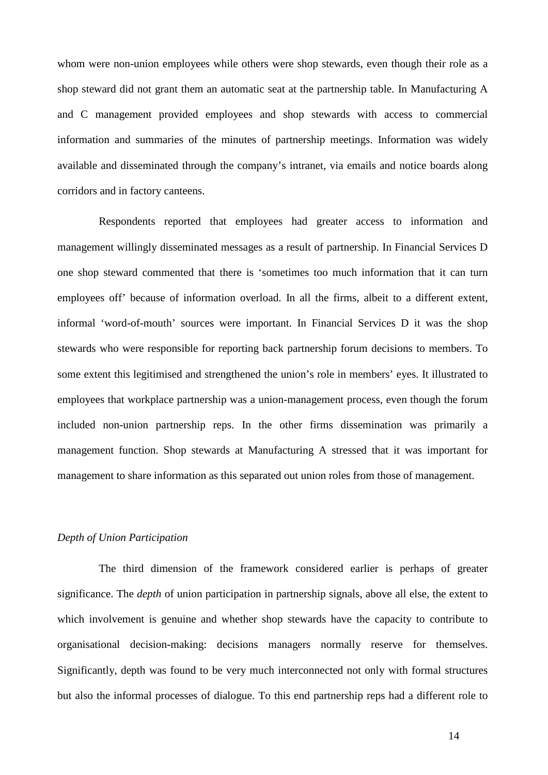whom were non-union employees while others were shop stewards, even though their role as a shop steward did not grant them an automatic seat at the partnership table. In Manufacturing A and C management provided employees and shop stewards with access to commercial information and summaries of the minutes of partnership meetings. Information was widely available and disseminated through the company's intranet, via emails and notice boards along corridors and in factory canteens.

Respondents reported that employees had greater access to information and management willingly disseminated messages as a result of partnership. In Financial Services D one shop steward commented that there is 'sometimes too much information that it can turn employees off' because of information overload. In all the firms, albeit to a different extent, informal 'word-of-mouth' sources were important. In Financial Services D it was the shop stewards who were responsible for reporting back partnership forum decisions to members. To some extent this legitimised and strengthened the union's role in members' eyes. It illustrated to employees that workplace partnership was a union-management process, even though the forum included non-union partnership reps. In the other firms dissemination was primarily a management function. Shop stewards at Manufacturing A stressed that it was important for management to share information as this separated out union roles from those of management.

#### *Depth of Union Participation*

The third dimension of the framework considered earlier is perhaps of greater significance. The *depth* of union participation in partnership signals, above all else, the extent to which involvement is genuine and whether shop stewards have the capacity to contribute to organisational decision-making: decisions managers normally reserve for themselves. Significantly, depth was found to be very much interconnected not only with formal structures but also the informal processes of dialogue. To this end partnership reps had a different role to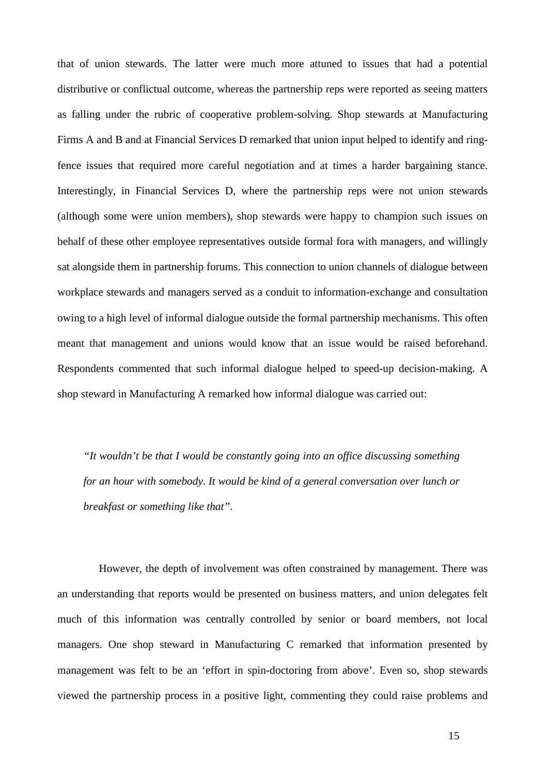that of union stewards. The latter were much more attuned to issues that had a potential distributive or conflictual outcome, whereas the partnership reps were reported as seeing matters as falling under the rubric of cooperative problem-solving. Shop stewards at Manufacturing Firms A and B and at Financial Services D remarked that union input helped to identify and ringfence issues that required more careful negotiation and at times a harder bargaining stance. Interestingly, in Financial Services D, where the partnership reps were not union stewards (although some were union members), shop stewards were happy to champion such issues on behalf of these other employee representatives outside formal fora with managers, and willingly sat alongside them in partnership forums. This connection to union channels of dialogue between workplace stewards and managers served as a conduit to information-exchange and consultation owing to a high level of informal dialogue outside the formal partnership mechanisms. This often meant that management and unions would know that an issue would be raised beforehand. Respondents commented that such informal dialogue helped to speed-up decision-making. A shop steward in Manufacturing A remarked how informal dialogue was carried out:

*"It wouldn't be that I would be constantly going into an office discussing something for an hour with somebody. It would be kind of a general conversation over lunch or breakfast or something like that".*

However, the depth of involvement was often constrained by management. There was an understanding that reports would be presented on business matters, and union delegates felt much of this information was centrally controlled by senior or board members, not local managers. One shop steward in Manufacturing C remarked that information presented by management was felt to be an 'effort in spin-doctoring from above'. Even so, shop stewards viewed the partnership process in a positive light, commenting they could raise problems and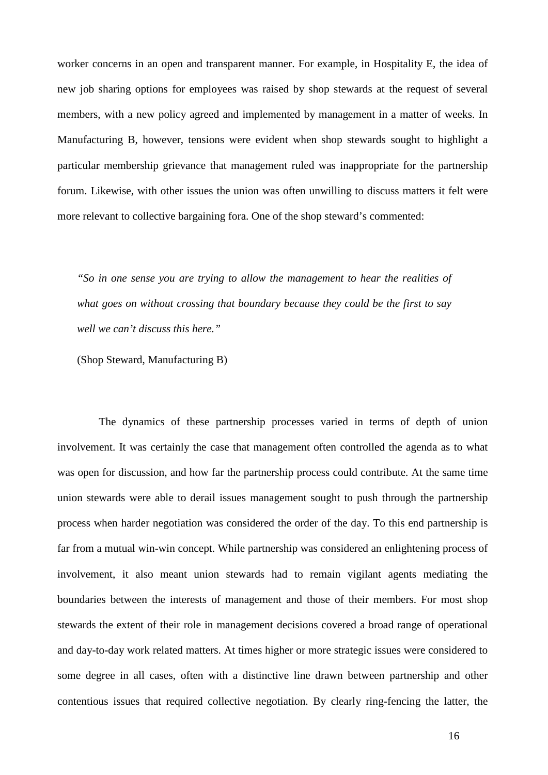worker concerns in an open and transparent manner. For example, in Hospitality E, the idea of new job sharing options for employees was raised by shop stewards at the request of several members, with a new policy agreed and implemented by management in a matter of weeks. In Manufacturing B, however, tensions were evident when shop stewards sought to highlight a particular membership grievance that management ruled was inappropriate for the partnership forum. Likewise, with other issues the union was often unwilling to discuss matters it felt were more relevant to collective bargaining fora. One of the shop steward's commented:

*"So in one sense you are trying to allow the management to hear the realities of what goes on without crossing that boundary because they could be the first to say well we can't discuss this here."*

(Shop Steward, Manufacturing B)

The dynamics of these partnership processes varied in terms of depth of union involvement. It was certainly the case that management often controlled the agenda as to what was open for discussion, and how far the partnership process could contribute. At the same time union stewards were able to derail issues management sought to push through the partnership process when harder negotiation was considered the order of the day. To this end partnership is far from a mutual win-win concept. While partnership was considered an enlightening process of involvement, it also meant union stewards had to remain vigilant agents mediating the boundaries between the interests of management and those of their members. For most shop stewards the extent of their role in management decisions covered a broad range of operational and day-to-day work related matters. At times higher or more strategic issues were considered to some degree in all cases, often with a distinctive line drawn between partnership and other contentious issues that required collective negotiation. By clearly ring-fencing the latter, the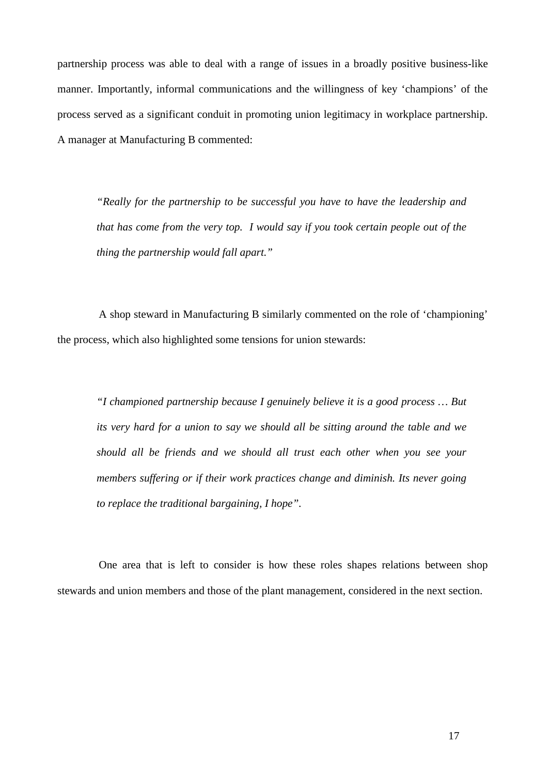partnership process was able to deal with a range of issues in a broadly positive business-like manner. Importantly, informal communications and the willingness of key 'champions' of the process served as a significant conduit in promoting union legitimacy in workplace partnership. A manager at Manufacturing B commented:

*"Really for the partnership to be successful you have to have the leadership and that has come from the very top. I would say if you took certain people out of the thing the partnership would fall apart."*

A shop steward in Manufacturing B similarly commented on the role of 'championing' the process, which also highlighted some tensions for union stewards:

*"I championed partnership because I genuinely believe it is a good process … But its very hard for a union to say we should all be sitting around the table and we should all be friends and we should all trust each other when you see your members suffering or if their work practices change and diminish. Its never going to replace the traditional bargaining, I hope".*

One area that is left to consider is how these roles shapes relations between shop stewards and union members and those of the plant management, considered in the next section.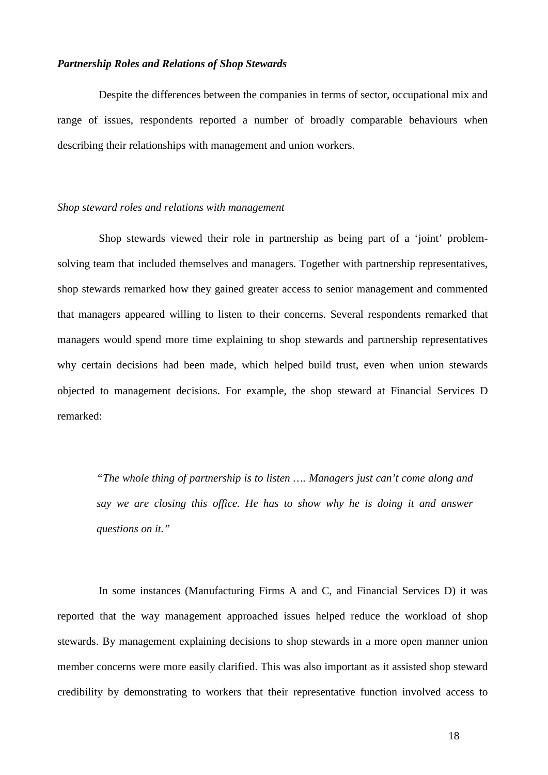#### *Partnership Roles and Relations of Shop Stewards*

Despite the differences between the companies in terms of sector, occupational mix and range of issues, respondents reported a number of broadly comparable behaviours when describing their relationships with management and union workers.

#### *Shop steward roles and relations with management*

Shop stewards viewed their role in partnership as being part of a 'joint' problemsolving team that included themselves and managers. Together with partnership representatives, shop stewards remarked how they gained greater access to senior management and commented that managers appeared willing to listen to their concerns. Several respondents remarked that managers would spend more time explaining to shop stewards and partnership representatives why certain decisions had been made, which helped build trust, even when union stewards objected to management decisions. For example, the shop steward at Financial Services D remarked:

*"The whole thing of partnership is to listen …. Managers just can't come along and say we are closing this office. He has to show why he is doing it and answer questions on it."*

In some instances (Manufacturing Firms A and C, and Financial Services D) it was reported that the way management approached issues helped reduce the workload of shop stewards. By management explaining decisions to shop stewards in a more open manner union member concerns were more easily clarified. This was also important as it assisted shop steward credibility by demonstrating to workers that their representative function involved access to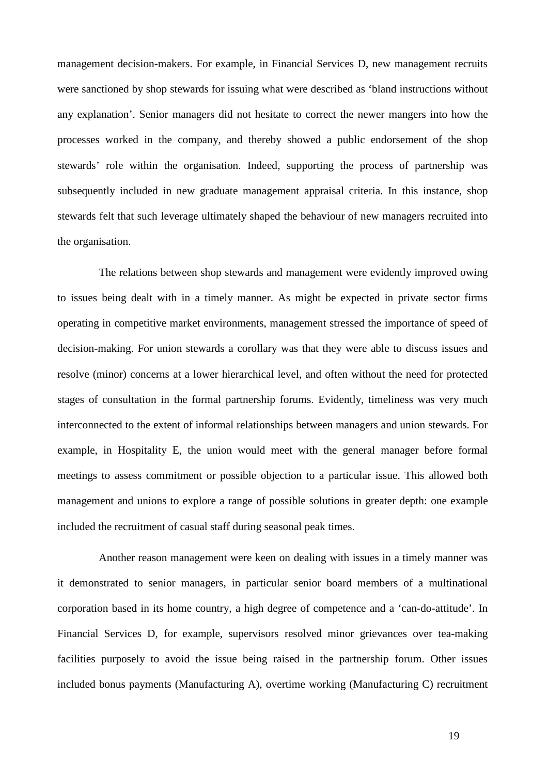management decision-makers. For example, in Financial Services D, new management recruits were sanctioned by shop stewards for issuing what were described as 'bland instructions without any explanation'. Senior managers did not hesitate to correct the newer mangers into how the processes worked in the company, and thereby showed a public endorsement of the shop stewards' role within the organisation. Indeed, supporting the process of partnership was subsequently included in new graduate management appraisal criteria. In this instance, shop stewards felt that such leverage ultimately shaped the behaviour of new managers recruited into the organisation.

The relations between shop stewards and management were evidently improved owing to issues being dealt with in a timely manner. As might be expected in private sector firms operating in competitive market environments, management stressed the importance of speed of decision-making. For union stewards a corollary was that they were able to discuss issues and resolve (minor) concerns at a lower hierarchical level, and often without the need for protected stages of consultation in the formal partnership forums. Evidently, timeliness was very much interconnected to the extent of informal relationships between managers and union stewards. For example, in Hospitality E, the union would meet with the general manager before formal meetings to assess commitment or possible objection to a particular issue. This allowed both management and unions to explore a range of possible solutions in greater depth: one example included the recruitment of casual staff during seasonal peak times.

Another reason management were keen on dealing with issues in a timely manner was it demonstrated to senior managers, in particular senior board members of a multinational corporation based in its home country, a high degree of competence and a 'can-do-attitude'. In Financial Services D, for example, supervisors resolved minor grievances over tea-making facilities purposely to avoid the issue being raised in the partnership forum. Other issues included bonus payments (Manufacturing A), overtime working (Manufacturing C) recruitment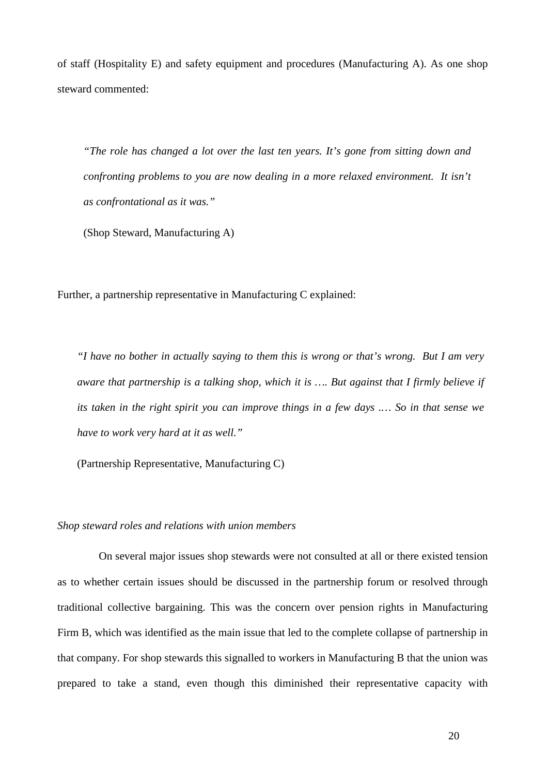of staff (Hospitality E) and safety equipment and procedures (Manufacturing A). As one shop steward commented:

*"The role has changed a lot over the last ten years. It's gone from sitting down and confronting problems to you are now dealing in a more relaxed environment. It isn't as confrontational as it was."*

(Shop Steward, Manufacturing A)

Further, a partnership representative in Manufacturing C explained:

*"I have no bother in actually saying to them this is wrong or that's wrong. But I am very aware that partnership is a talking shop, which it is …. But against that I firmly believe if its taken in the right spirit you can improve things in a few days .… So in that sense we have to work very hard at it as well."* 

(Partnership Representative, Manufacturing C)

#### *Shop steward roles and relations with union members*

On several major issues shop stewards were not consulted at all or there existed tension as to whether certain issues should be discussed in the partnership forum or resolved through traditional collective bargaining. This was the concern over pension rights in Manufacturing Firm B, which was identified as the main issue that led to the complete collapse of partnership in that company. For shop stewards this signalled to workers in Manufacturing B that the union was prepared to take a stand, even though this diminished their representative capacity with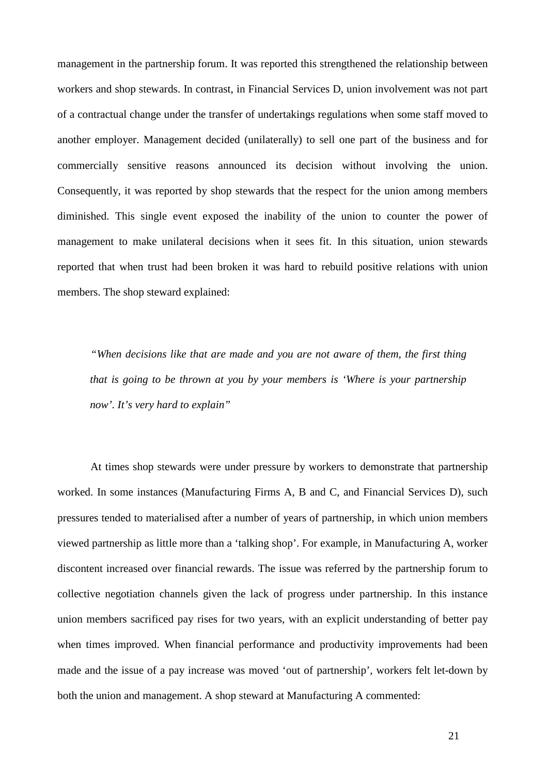management in the partnership forum. It was reported this strengthened the relationship between workers and shop stewards. In contrast, in Financial Services D, union involvement was not part of a contractual change under the transfer of undertakings regulations when some staff moved to another employer. Management decided (unilaterally) to sell one part of the business and for commercially sensitive reasons announced its decision without involving the union. Consequently, it was reported by shop stewards that the respect for the union among members diminished. This single event exposed the inability of the union to counter the power of management to make unilateral decisions when it sees fit. In this situation, union stewards reported that when trust had been broken it was hard to rebuild positive relations with union members. The shop steward explained:

*"When decisions like that are made and you are not aware of them, the first thing that is going to be thrown at you by your members is 'Where is your partnership now'. It's very hard to explain"*

At times shop stewards were under pressure by workers to demonstrate that partnership worked. In some instances (Manufacturing Firms A, B and C, and Financial Services D), such pressures tended to materialised after a number of years of partnership, in which union members viewed partnership as little more than a 'talking shop'. For example, in Manufacturing A, worker discontent increased over financial rewards. The issue was referred by the partnership forum to collective negotiation channels given the lack of progress under partnership. In this instance union members sacrificed pay rises for two years, with an explicit understanding of better pay when times improved. When financial performance and productivity improvements had been made and the issue of a pay increase was moved 'out of partnership', workers felt let-down by both the union and management. A shop steward at Manufacturing A commented: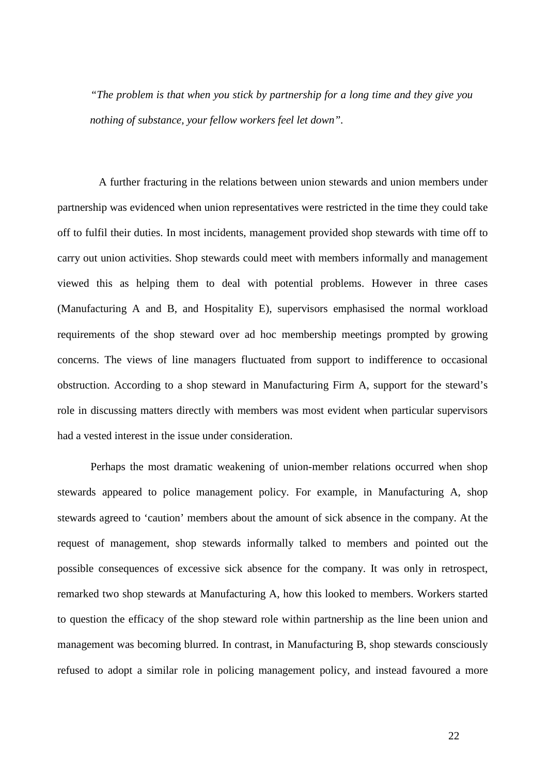*"The problem is that when you stick by partnership for a long time and they give you nothing of substance, your fellow workers feel let down".*

A further fracturing in the relations between union stewards and union members under partnership was evidenced when union representatives were restricted in the time they could take off to fulfil their duties. In most incidents, management provided shop stewards with time off to carry out union activities. Shop stewards could meet with members informally and management viewed this as helping them to deal with potential problems. However in three cases (Manufacturing A and B, and Hospitality E), supervisors emphasised the normal workload requirements of the shop steward over ad hoc membership meetings prompted by growing concerns. The views of line managers fluctuated from support to indifference to occasional obstruction. According to a shop steward in Manufacturing Firm A, support for the steward's role in discussing matters directly with members was most evident when particular supervisors had a vested interest in the issue under consideration.

Perhaps the most dramatic weakening of union-member relations occurred when shop stewards appeared to police management policy. For example, in Manufacturing A, shop stewards agreed to 'caution' members about the amount of sick absence in the company. At the request of management, shop stewards informally talked to members and pointed out the possible consequences of excessive sick absence for the company. It was only in retrospect, remarked two shop stewards at Manufacturing A, how this looked to members. Workers started to question the efficacy of the shop steward role within partnership as the line been union and management was becoming blurred. In contrast, in Manufacturing B, shop stewards consciously refused to adopt a similar role in policing management policy, and instead favoured a more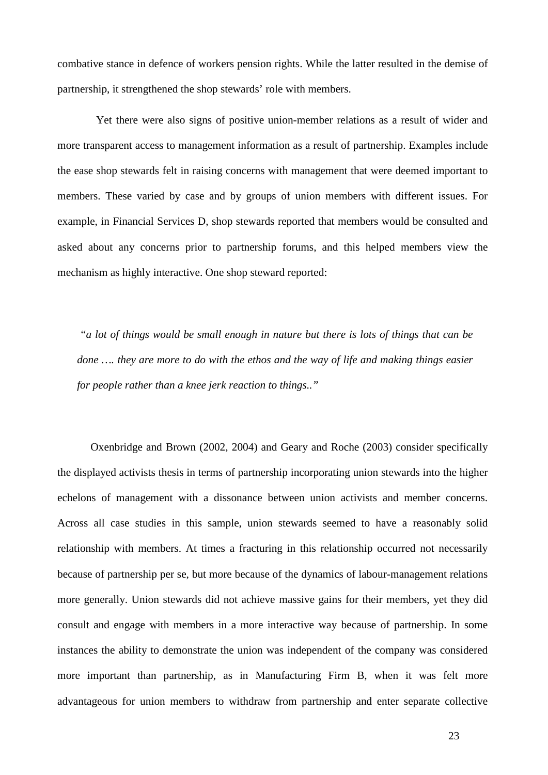combative stance in defence of workers pension rights. While the latter resulted in the demise of partnership, it strengthened the shop stewards' role with members.

 Yet there were also signs of positive union-member relations as a result of wider and more transparent access to management information as a result of partnership. Examples include the ease shop stewards felt in raising concerns with management that were deemed important to members. These varied by case and by groups of union members with different issues. For example, in Financial Services D, shop stewards reported that members would be consulted and asked about any concerns prior to partnership forums, and this helped members view the mechanism as highly interactive. One shop steward reported:

*"a lot of things would be small enough in nature but there is lots of things that can be done …. they are more to do with the ethos and the way of life and making things easier for people rather than a knee jerk reaction to things.."*

Oxenbridge and Brown (2002, 2004) and Geary and Roche (2003) consider specifically the displayed activists thesis in terms of partnership incorporating union stewards into the higher echelons of management with a dissonance between union activists and member concerns. Across all case studies in this sample, union stewards seemed to have a reasonably solid relationship with members. At times a fracturing in this relationship occurred not necessarily because of partnership per se, but more because of the dynamics of labour-management relations more generally. Union stewards did not achieve massive gains for their members, yet they did consult and engage with members in a more interactive way because of partnership. In some instances the ability to demonstrate the union was independent of the company was considered more important than partnership, as in Manufacturing Firm B, when it was felt more advantageous for union members to withdraw from partnership and enter separate collective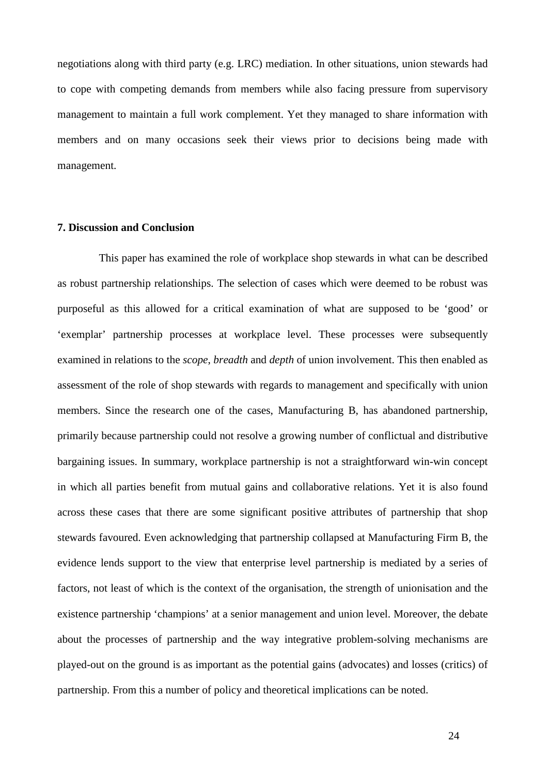negotiations along with third party (e.g. LRC) mediation. In other situations, union stewards had to cope with competing demands from members while also facing pressure from supervisory management to maintain a full work complement. Yet they managed to share information with members and on many occasions seek their views prior to decisions being made with management.

#### **7. Discussion and Conclusion**

This paper has examined the role of workplace shop stewards in what can be described as robust partnership relationships. The selection of cases which were deemed to be robust was purposeful as this allowed for a critical examination of what are supposed to be 'good' or 'exemplar' partnership processes at workplace level. These processes were subsequently examined in relations to the *scope*, *breadth* and *depth* of union involvement. This then enabled as assessment of the role of shop stewards with regards to management and specifically with union members. Since the research one of the cases, Manufacturing B, has abandoned partnership, primarily because partnership could not resolve a growing number of conflictual and distributive bargaining issues. In summary, workplace partnership is not a straightforward win-win concept in which all parties benefit from mutual gains and collaborative relations. Yet it is also found across these cases that there are some significant positive attributes of partnership that shop stewards favoured. Even acknowledging that partnership collapsed at Manufacturing Firm B, the evidence lends support to the view that enterprise level partnership is mediated by a series of factors, not least of which is the context of the organisation, the strength of unionisation and the existence partnership 'champions' at a senior management and union level. Moreover, the debate about the processes of partnership and the way integrative problem-solving mechanisms are played-out on the ground is as important as the potential gains (advocates) and losses (critics) of partnership. From this a number of policy and theoretical implications can be noted.

24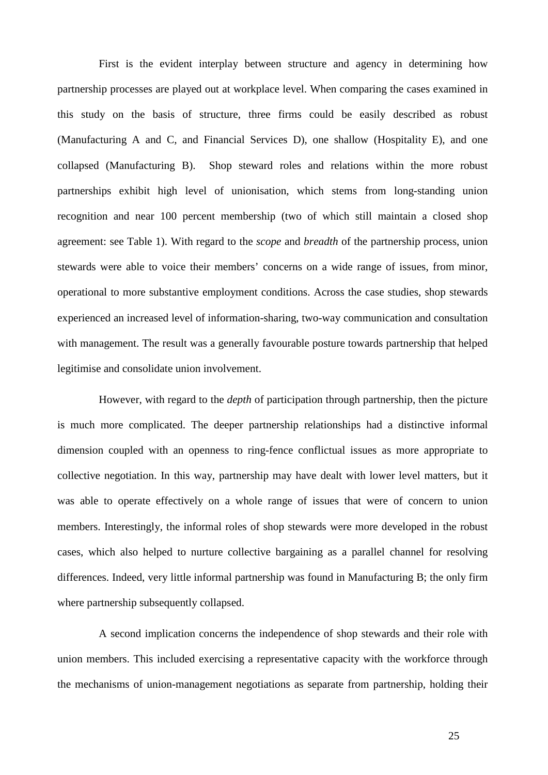First is the evident interplay between structure and agency in determining how partnership processes are played out at workplace level. When comparing the cases examined in this study on the basis of structure, three firms could be easily described as robust (Manufacturing A and C, and Financial Services D), one shallow (Hospitality E), and one collapsed (Manufacturing B). Shop steward roles and relations within the more robust partnerships exhibit high level of unionisation, which stems from long-standing union recognition and near 100 percent membership (two of which still maintain a closed shop agreement: see Table 1). With regard to the *scope* and *breadth* of the partnership process, union stewards were able to voice their members' concerns on a wide range of issues, from minor, operational to more substantive employment conditions. Across the case studies, shop stewards experienced an increased level of information-sharing, two-way communication and consultation with management. The result was a generally favourable posture towards partnership that helped legitimise and consolidate union involvement.

However, with regard to the *depth* of participation through partnership, then the picture is much more complicated. The deeper partnership relationships had a distinctive informal dimension coupled with an openness to ring-fence conflictual issues as more appropriate to collective negotiation. In this way, partnership may have dealt with lower level matters, but it was able to operate effectively on a whole range of issues that were of concern to union members. Interestingly, the informal roles of shop stewards were more developed in the robust cases, which also helped to nurture collective bargaining as a parallel channel for resolving differences. Indeed, very little informal partnership was found in Manufacturing B; the only firm where partnership subsequently collapsed.

A second implication concerns the independence of shop stewards and their role with union members. This included exercising a representative capacity with the workforce through the mechanisms of union-management negotiations as separate from partnership, holding their

25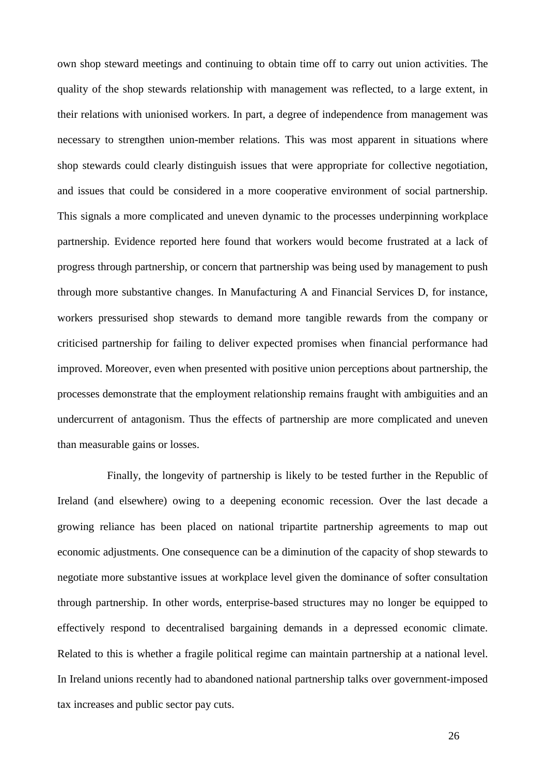own shop steward meetings and continuing to obtain time off to carry out union activities. The quality of the shop stewards relationship with management was reflected, to a large extent, in their relations with unionised workers. In part, a degree of independence from management was necessary to strengthen union-member relations. This was most apparent in situations where shop stewards could clearly distinguish issues that were appropriate for collective negotiation, and issues that could be considered in a more cooperative environment of social partnership. This signals a more complicated and uneven dynamic to the processes underpinning workplace partnership. Evidence reported here found that workers would become frustrated at a lack of progress through partnership, or concern that partnership was being used by management to push through more substantive changes. In Manufacturing A and Financial Services D, for instance, workers pressurised shop stewards to demand more tangible rewards from the company or criticised partnership for failing to deliver expected promises when financial performance had improved. Moreover, even when presented with positive union perceptions about partnership, the processes demonstrate that the employment relationship remains fraught with ambiguities and an undercurrent of antagonism. Thus the effects of partnership are more complicated and uneven than measurable gains or losses.

Finally, the longevity of partnership is likely to be tested further in the Republic of Ireland (and elsewhere) owing to a deepening economic recession. Over the last decade a growing reliance has been placed on national tripartite partnership agreements to map out economic adjustments. One consequence can be a diminution of the capacity of shop stewards to negotiate more substantive issues at workplace level given the dominance of softer consultation through partnership. In other words, enterprise-based structures may no longer be equipped to effectively respond to decentralised bargaining demands in a depressed economic climate. Related to this is whether a fragile political regime can maintain partnership at a national level. In Ireland unions recently had to abandoned national partnership talks over government-imposed tax increases and public sector pay cuts.

26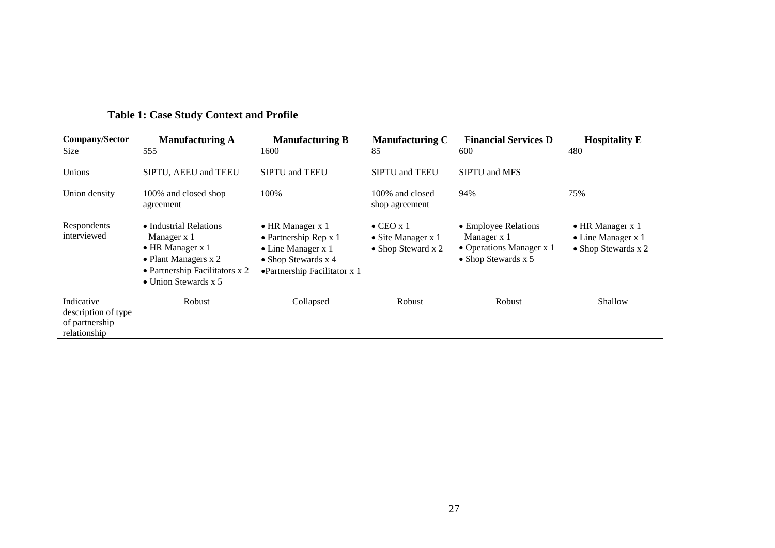| Company/Sector                                                      | <b>Manufacturing A</b>                                                                                                                                | <b>Manufacturing B</b>                                                                                                                                 | <b>Manufacturing C</b>                                                | <b>Financial Services D</b>                                                                    | <b>Hospitality E</b>                                                  |
|---------------------------------------------------------------------|-------------------------------------------------------------------------------------------------------------------------------------------------------|--------------------------------------------------------------------------------------------------------------------------------------------------------|-----------------------------------------------------------------------|------------------------------------------------------------------------------------------------|-----------------------------------------------------------------------|
| Size                                                                | 555                                                                                                                                                   | 1600                                                                                                                                                   | 85                                                                    | 600                                                                                            | 480                                                                   |
| Unions                                                              | SIPTU, AEEU and TEEU                                                                                                                                  | <b>SIPTU</b> and <b>TEEU</b>                                                                                                                           | <b>SIPTU</b> and <b>TEEU</b>                                          | <b>SIPTU</b> and MFS                                                                           |                                                                       |
| Union density                                                       | 100% and closed shop<br>agreement                                                                                                                     | 100%                                                                                                                                                   | 100% and closed<br>shop agreement                                     | 94%                                                                                            | 75%                                                                   |
| Respondents<br>interviewed                                          | • Industrial Relations<br>Manager x 1<br>$\bullet$ HR Manager x 1<br>• Plant Managers x 2<br>• Partnership Facilitators x 2<br>• Union Stewards $x$ 5 | $\bullet$ HR Manager x 1<br>$\bullet$ Partnership Rep x 1<br>$\bullet$ Line Manager x 1<br>$\bullet$ Shop Stewards x 4<br>•Partnership Facilitator x 1 | $\bullet$ CEO x 1<br>$\bullet$ Site Manager x 1<br>• Shop Steward x 2 | • Employee Relations<br>Manager x 1<br>• Operations Manager x 1<br>$\bullet$ Shop Stewards x 5 | $\bullet$ HR Manager x 1<br>• Line Manager x 1<br>• Shop Stewards x 2 |
| Indicative<br>description of type<br>of partnership<br>relationship | <b>Robust</b>                                                                                                                                         | Collapsed                                                                                                                                              | Robust                                                                | <b>Robust</b>                                                                                  | Shallow                                                               |

# **Table 1: Case Study Context and Profile**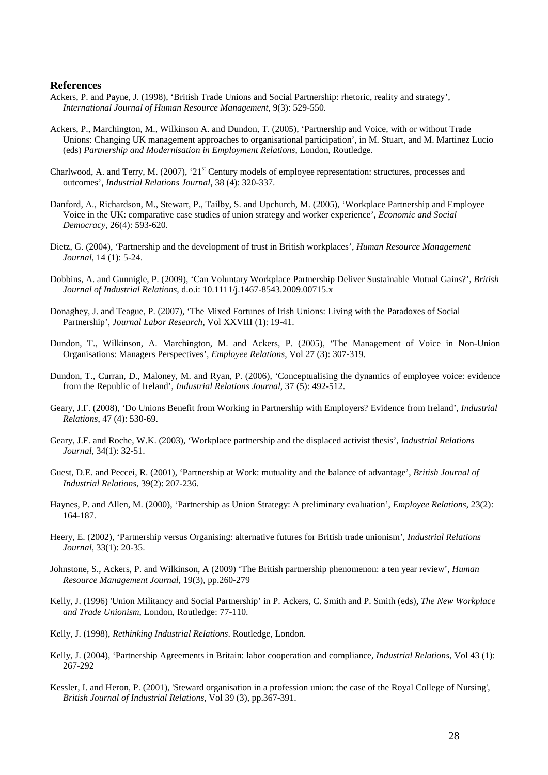#### **References**

- Ackers, P. and Payne, J. (1998), 'British Trade Unions and Social Partnership: rhetoric, reality and strategy', *International Journal of Human Resource Management*, 9(3): 529-550.
- Ackers, P., Marchington, M., Wilkinson A. and Dundon, T. (2005), 'Partnership and Voice, with or without Trade Unions: Changing UK management approaches to organisational participation', in M. Stuart, and M. Martinez Lucio (eds) *Partnership and Modernisation in Employment Relations*, London, Routledge.
- Charlwood, A. and Terry, M. (2007), '21<sup>st</sup> Century models of employee representation: structures, processes and outcomes', *Industrial Relations Journal*, 38 (4): 320-337.
- Danford, A., Richardson, M., Stewart, P., Tailby, S. and Upchurch, M. (2005), 'Workplace Partnership and Employee Voice in the UK: comparative case studies of union strategy and worker experience', *Economic and Social Democracy*, 26(4): 593-620.
- Dietz, G. (2004), 'Partnership and the development of trust in British workplaces', *Human Resource Management Journal*, 14 (1): 5-24.
- Dobbins, A. and Gunnigle, P. (2009), 'Can Voluntary Workplace Partnership Deliver Sustainable Mutual Gains?', *British Journal of Industrial Relations*, d.o.i: 10.1111/j.1467-8543.2009.00715.x
- Donaghey, J. and Teague, P. (2007), 'The Mixed Fortunes of Irish Unions: Living with the Paradoxes of Social Partnership', *Journal Labor Research*, Vol XXVIII (1): 19-41.
- Dundon, T., Wilkinson, A. Marchington, M. and Ackers, P. (2005), 'The Management of Voice in Non-Union Organisations: Managers Perspectives', *Employee Relations*, Vol 27 (3): 307-319.
- Dundon, T., Curran, D., Maloney, M. and Ryan, P. (2006), 'Conceptualising the dynamics of employee voice: evidence from the Republic of Ireland', *Industrial Relations Journal*, 37 (5): 492-512.
- Geary, J.F. (2008), 'Do Unions Benefit from Working in Partnership with Employers? Evidence from Ireland', *Industrial Relations*, 47 (4): 530-69.
- Geary, J.F. and Roche, W.K. (2003), 'Workplace partnership and the displaced activist thesis', *Industrial Relations Journal*, 34(1): 32-51.
- Guest, D.E. and Peccei, R. (2001), 'Partnership at Work: mutuality and the balance of advantage', *British Journal of Industrial Relations*, 39(2): 207-236.
- Haynes, P. and Allen, M. (2000), 'Partnership as Union Strategy: A preliminary evaluation', *Employee Relations*, 23(2): 164-187.
- Heery, E. (2002), 'Partnership versus Organising: alternative futures for British trade unionism', *Industrial Relations Journal*, 33(1): 20-35.
- Johnstone, S., Ackers, P. and Wilkinson, A (2009) 'The British partnership phenomenon: a ten year review', *Human Resource Management Journal*, 19(3), pp.260-279
- Kelly, J. (1996) 'Union Militancy and Social Partnership' in P. Ackers, C. Smith and P. Smith (eds), *The New Workplace and Trade Unionism*, London, Routledge: 77-110.
- Kelly, J. (1998), *Rethinking Industrial Relations*. Routledge, London.
- Kelly, J. (2004), 'Partnership Agreements in Britain: labor cooperation and compliance, *Industrial Relations*, Vol 43 (1): 267-292
- Kessler, I. and Heron, P. (2001), 'Steward organisation in a profession union: the case of the Royal College of Nursing', *British Journal of Industrial Relations*, Vol 39 (3), pp.367-391.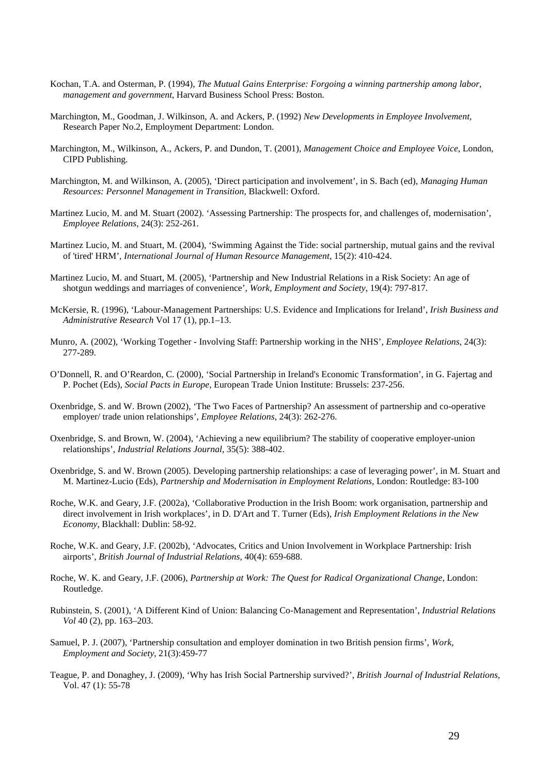- Kochan, T.A. and Osterman, P. (1994), *The Mutual Gains Enterprise: Forgoing a winning partnership among labor, management and government*, Harvard Business School Press: Boston.
- Marchington, M., Goodman, J. Wilkinson, A. and Ackers, P. (1992) *New Developments in Employee Involvement,* Research Paper No.2, Employment Department: London.
- Marchington, M., Wilkinson, A., Ackers, P. and Dundon, T. (2001), *Management Choice and Employee Voice*, London, CIPD Publishing.
- Marchington, M. and Wilkinson, A. (2005), 'Direct participation and involvement', in S. Bach (ed), *Managing Human Resources: Personnel Management in Transition*, Blackwell: Oxford.
- Martinez Lucio, M. and M. Stuart (2002). 'Assessing Partnership: The prospects for, and challenges of, modernisation', *Employee Relations*, 24(3): 252-261.
- Martinez Lucio, M. and Stuart, M. (2004), 'Swimming Against the Tide: social partnership, mutual gains and the revival of 'tired' HRM', *International Journal of Human Resource Management*, 15(2): 410-424.
- Martinez Lucio, M. and Stuart, M. (2005), 'Partnership and New Industrial Relations in a Risk Society: An age of shotgun weddings and marriages of convenience', *Work, Employment and Society*, 19(4): 797-817.
- McKersie, R. (1996), 'Labour-Management Partnerships: U.S. Evidence and Implications for Ireland', *Irish Business and Administrative Research* Vol 17 (1), pp.1–13.
- Munro, A. (2002), 'Working Together Involving Staff: Partnership working in the NHS', *Employee Relations*, 24(3): 277-289.
- O'Donnell, R. and O'Reardon, C. (2000), 'Social Partnership in Ireland's Economic Transformation', in G. Fajertag and P. Pochet (Eds), *Social Pacts in Europe*, European Trade Union Institute: Brussels: 237-256.
- Oxenbridge, S. and W. Brown (2002), 'The Two Faces of Partnership? An assessment of partnership and co-operative employer/ trade union relationships', *Employee Relations*, 24(3): 262-276.
- Oxenbridge, S. and Brown, W. (2004), 'Achieving a new equilibrium? The stability of cooperative employer-union relationships', *Industrial Relations Journal*, 35(5): 388-402.
- Oxenbridge, S. and W. Brown (2005). Developing partnership relationships: a case of leveraging power', in M. Stuart and M. Martinez-Lucio (Eds), *Partnership and Modernisation in Employment Relations*, London: Routledge: 83-100
- Roche, W.K. and Geary, J.F. (2002a), 'Collaborative Production in the Irish Boom: work organisation, partnership and direct involvement in Irish workplaces', in D. D'Art and T. Turner (Eds), *Irish Employment Relations in the New Economy*, Blackhall: Dublin: 58-92.
- Roche, W.K. and Geary, J.F. (2002b), 'Advocates, Critics and Union Involvement in Workplace Partnership: Irish airports', *British Journal of Industrial Relations*, 40(4): 659-688.
- Roche, W. K. and Geary, J.F. (2006), *Partnership at Work: The Quest for Radical Organizational Change*, London: Routledge.
- Rubinstein, S. (2001), 'A Different Kind of Union: Balancing Co-Management and Representation', *Industrial Relations Vol* 40 (2), pp. 163–203.
- Samuel, P. J. (2007), 'Partnership consultation and employer domination in two British pension firms', *Work, Employment and Society*, 21(3):459-77
- Teague, P. and Donaghey, J. (2009), 'Why has Irish Social Partnership survived?', *British Journal of Industrial Relations,*  Vol. 47 (1): 55-78